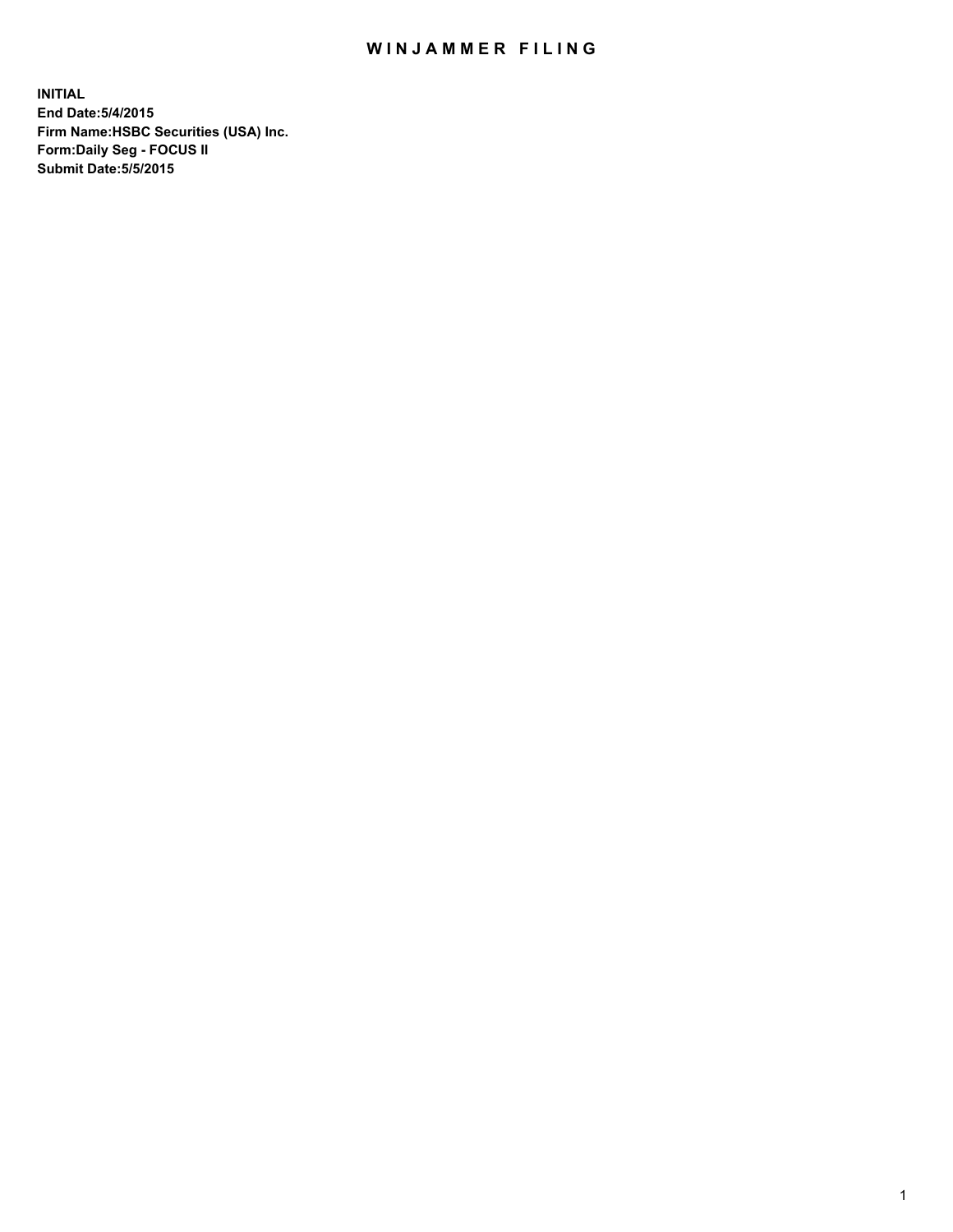## WIN JAMMER FILING

**INITIAL End Date:5/4/2015 Firm Name:HSBC Securities (USA) Inc. Form:Daily Seg - FOCUS II Submit Date:5/5/2015**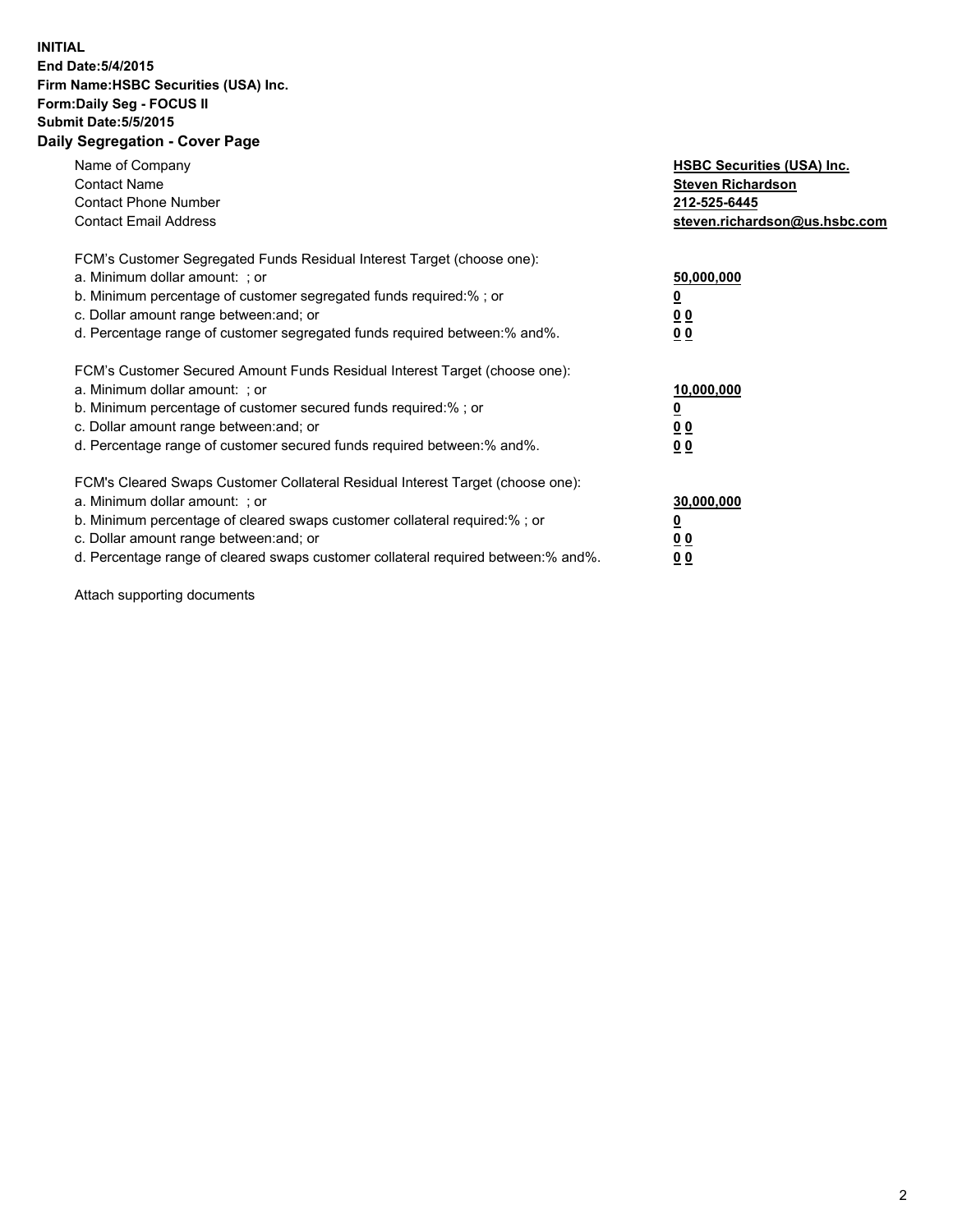## **INITIAL End Date:5/4/2015 Firm Name:HSBC Securities (USA) Inc. Form:Daily Seg - FOCUS II Submit Date:5/5/2015 Daily Segregation - Cover Page**

| Name of Company<br><b>Contact Name</b><br><b>Contact Phone Number</b><br><b>Contact Email Address</b>                                                                                                                                                                                                                          | <b>HSBC Securities (USA) Inc.</b><br><b>Steven Richardson</b><br>212-525-6445<br>steven.richardson@us.hsbc.com |
|--------------------------------------------------------------------------------------------------------------------------------------------------------------------------------------------------------------------------------------------------------------------------------------------------------------------------------|----------------------------------------------------------------------------------------------------------------|
| FCM's Customer Segregated Funds Residual Interest Target (choose one):<br>a. Minimum dollar amount: ; or<br>b. Minimum percentage of customer segregated funds required:%; or<br>c. Dollar amount range between: and; or<br>d. Percentage range of customer segregated funds required between:% and%.                          | 50,000,000<br>00<br>00                                                                                         |
| FCM's Customer Secured Amount Funds Residual Interest Target (choose one):<br>a. Minimum dollar amount: ; or<br>b. Minimum percentage of customer secured funds required:%; or<br>c. Dollar amount range between: and; or<br>d. Percentage range of customer secured funds required between:% and%.                            | 10,000,000<br>0 <sub>0</sub><br>00                                                                             |
| FCM's Cleared Swaps Customer Collateral Residual Interest Target (choose one):<br>a. Minimum dollar amount: ; or<br>b. Minimum percentage of cleared swaps customer collateral required:% ; or<br>c. Dollar amount range between: and; or<br>d. Percentage range of cleared swaps customer collateral required between:% and%. | 30,000,000<br><u>00</u><br><u>00</u>                                                                           |

Attach supporting documents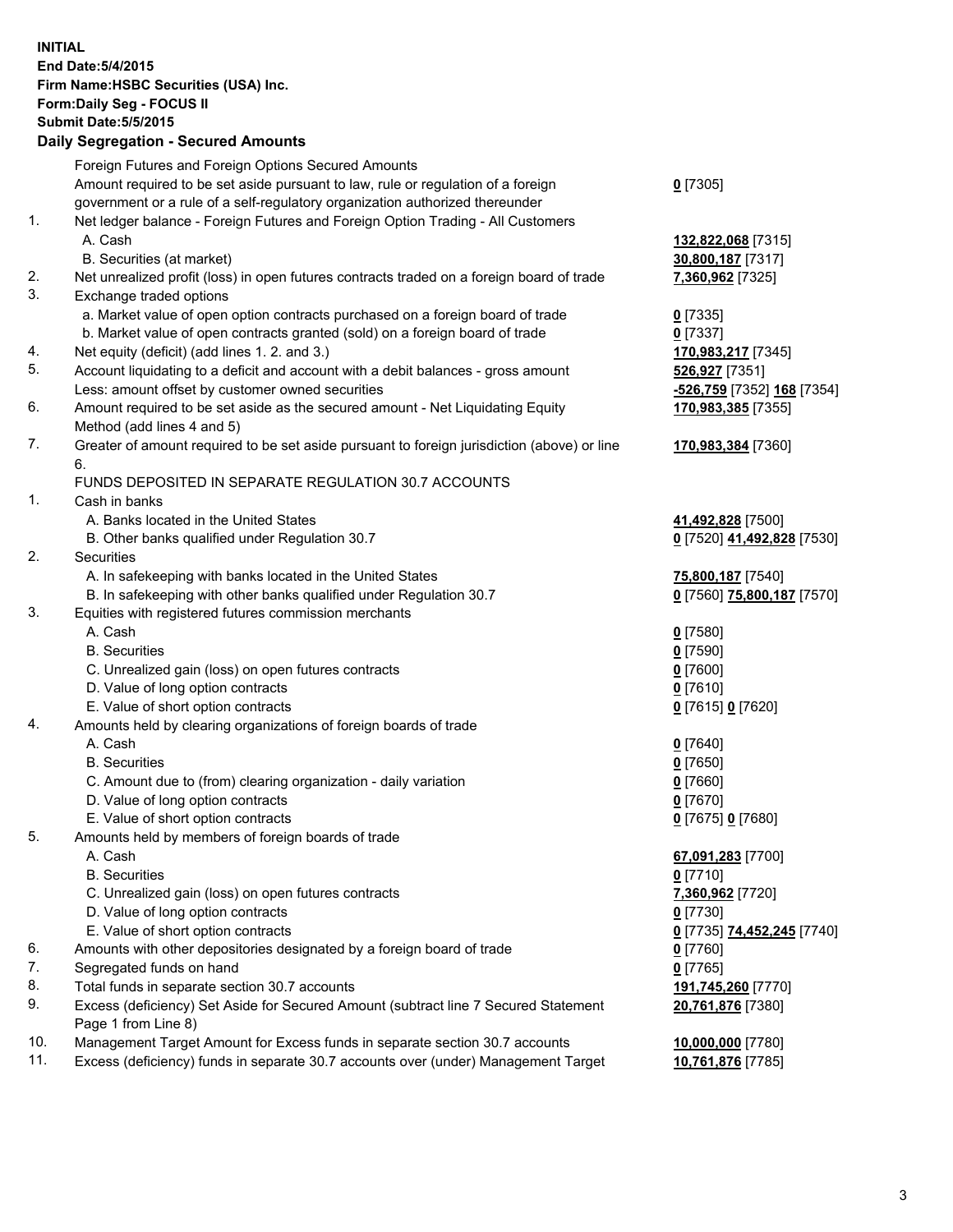**INITIAL End Date:5/4/2015 Firm Name:HSBC Securities (USA) Inc. Form:Daily Seg - FOCUS II Submit Date:5/5/2015 Daily Segregation - Secured Amounts** Foreign Futures and Foreign Options Secured Amounts Amount required to be set aside pursuant to law, rule or regulation of a foreign government or a rule of a self-regulatory organization authorized thereunder **0** [7305] 1. Net ledger balance - Foreign Futures and Foreign Option Trading - All Customers A. Cash **132,822,068** [7315] B. Securities (at market) **30,800,187** [7317] 2. Net unrealized profit (loss) in open futures contracts traded on a foreign board of trade **7,360,962** [7325] 3. Exchange traded options a. Market value of open option contracts purchased on a foreign board of trade **0** [7335] b. Market value of open contracts granted (sold) on a foreign board of trade **0** [7337] 4. Net equity (deficit) (add lines 1. 2. and 3.) **170,983,217** [7345] 5. Account liquidating to a deficit and account with a debit balances - gross amount **526,927** [7351] Less: amount offset by customer owned securities **-526,759** [7352] **168** [7354] 6. Amount required to be set aside as the secured amount - Net Liquidating Equity Method (add lines 4 and 5) **170,983,385** [7355] 7. Greater of amount required to be set aside pursuant to foreign jurisdiction (above) or line 6. **170,983,384** [7360] FUNDS DEPOSITED IN SEPARATE REGULATION 30.7 ACCOUNTS 1. Cash in banks A. Banks located in the United States **41,492,828** [7500] B. Other banks qualified under Regulation 30.7 **0** [7520] **41,492,828** [7530] 2. Securities A. In safekeeping with banks located in the United States **75,800,187** [7540] B. In safekeeping with other banks qualified under Regulation 30.7 **0** [7560] **75,800,187** [7570] 3. Equities with registered futures commission merchants A. Cash **0** [7580] B. Securities **0** [7590] C. Unrealized gain (loss) on open futures contracts **0** [7600] D. Value of long option contracts **0** [7610] E. Value of short option contracts **0** [7615] **0** [7620] 4. Amounts held by clearing organizations of foreign boards of trade A. Cash **0** [7640] B. Securities **0** [7650] C. Amount due to (from) clearing organization - daily variation **0** [7660] D. Value of long option contracts **0** [7670] E. Value of short option contracts **0** [7675] **0** [7680] 5. Amounts held by members of foreign boards of trade A. Cash **67,091,283** [7700] B. Securities **0** [7710] C. Unrealized gain (loss) on open futures contracts **7,360,962** [7720] D. Value of long option contracts **0** [7730] E. Value of short option contracts **0** [7735] **74,452,245** [7740] 6. Amounts with other depositories designated by a foreign board of trade **0** [7760] 7. Segregated funds on hand **0** [7765] 8. Total funds in separate section 30.7 accounts **191,745,260** [7770] 9. Excess (deficiency) Set Aside for Secured Amount (subtract line 7 Secured Statement Page 1 from Line 8) **20,761,876** [7380] 10. Management Target Amount for Excess funds in separate section 30.7 accounts **10,000,000** [7780] 11. Excess (deficiency) funds in separate 30.7 accounts over (under) Management Target **10,761,876** [7785]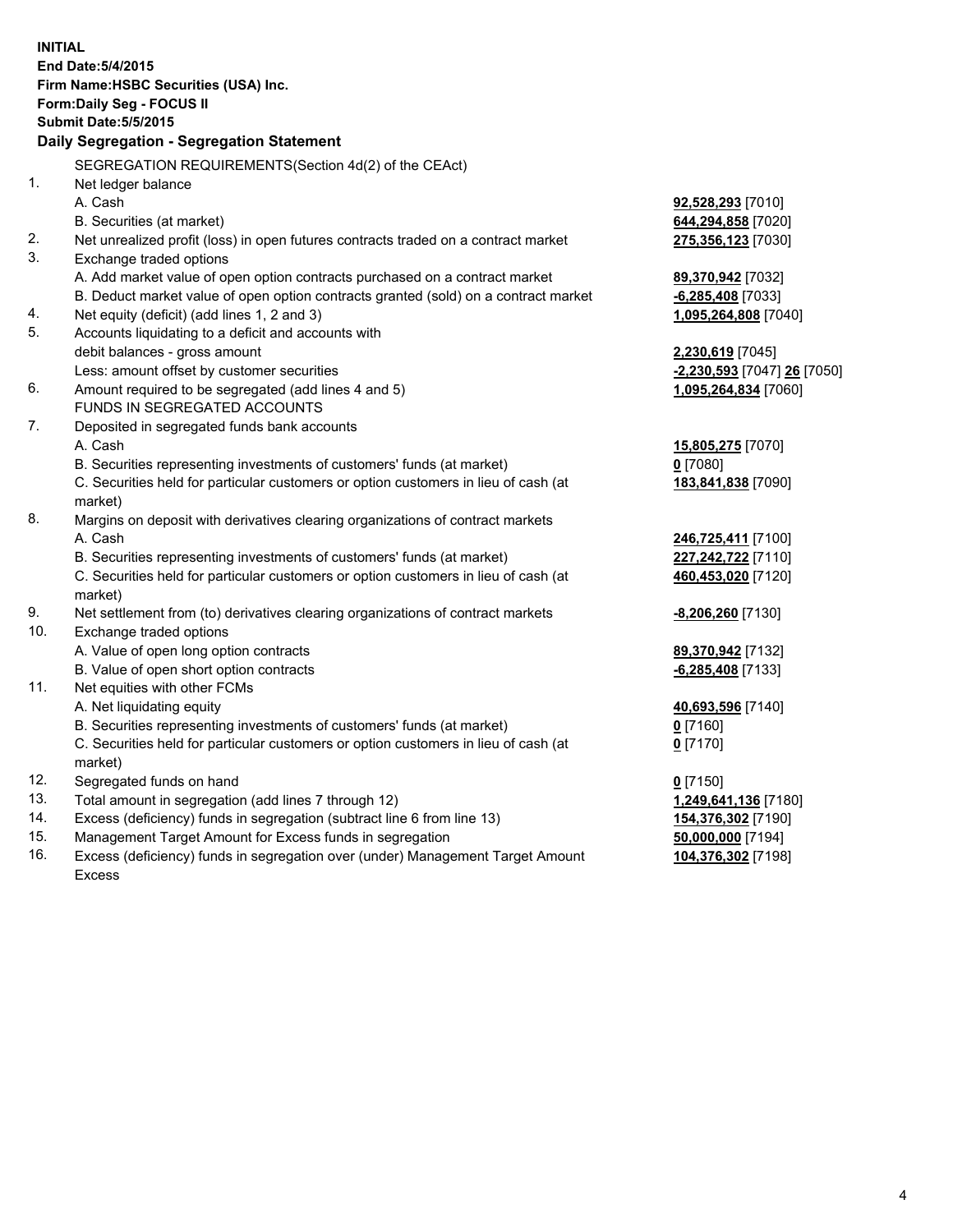| <b>INITIAL</b> | End Date: 5/4/2015<br>Firm Name: HSBC Securities (USA) Inc.<br>Form: Daily Seg - FOCUS II<br><b>Submit Date: 5/5/2015</b><br>Daily Segregation - Segregation Statement |                             |
|----------------|------------------------------------------------------------------------------------------------------------------------------------------------------------------------|-----------------------------|
|                | SEGREGATION REQUIREMENTS(Section 4d(2) of the CEAct)                                                                                                                   |                             |
| 1.             | Net ledger balance                                                                                                                                                     |                             |
|                | A. Cash                                                                                                                                                                | 92,528,293 [7010]           |
|                | B. Securities (at market)                                                                                                                                              | 644,294,858 [7020]          |
| 2.<br>3.       | Net unrealized profit (loss) in open futures contracts traded on a contract market                                                                                     | 275,356,123 [7030]          |
|                | Exchange traded options                                                                                                                                                |                             |
|                | A. Add market value of open option contracts purchased on a contract market                                                                                            | 89,370,942 [7032]           |
|                | B. Deduct market value of open option contracts granted (sold) on a contract market                                                                                    | $-6,285,408$ [7033]         |
| 4.<br>5.       | Net equity (deficit) (add lines 1, 2 and 3)                                                                                                                            | 1,095,264,808 [7040]        |
|                | Accounts liquidating to a deficit and accounts with                                                                                                                    |                             |
|                | debit balances - gross amount                                                                                                                                          | 2,230,619 [7045]            |
| 6.             | Less: amount offset by customer securities<br>Amount required to be segregated (add lines 4 and 5)                                                                     | -2,230,593 [7047] 26 [7050] |
|                | FUNDS IN SEGREGATED ACCOUNTS                                                                                                                                           | 1,095,264,834 [7060]        |
| 7.             | Deposited in segregated funds bank accounts                                                                                                                            |                             |
|                | A. Cash                                                                                                                                                                | 15,805,275 [7070]           |
|                | B. Securities representing investments of customers' funds (at market)                                                                                                 | $0$ [7080]                  |
|                | C. Securities held for particular customers or option customers in lieu of cash (at                                                                                    | 183,841,838 [7090]          |
|                | market)                                                                                                                                                                |                             |
| 8.             | Margins on deposit with derivatives clearing organizations of contract markets                                                                                         |                             |
|                | A. Cash                                                                                                                                                                | 246,725,411 [7100]          |
|                | B. Securities representing investments of customers' funds (at market)                                                                                                 | 227,242,722 [7110]          |
|                | C. Securities held for particular customers or option customers in lieu of cash (at                                                                                    | 460,453,020 [7120]          |
|                | market)                                                                                                                                                                |                             |
| 9.             | Net settlement from (to) derivatives clearing organizations of contract markets                                                                                        | <u>-8,206,260</u> [7130]    |
| 10.            | Exchange traded options                                                                                                                                                |                             |
|                | A. Value of open long option contracts                                                                                                                                 | 89,370,942 [7132]           |
|                | B. Value of open short option contracts                                                                                                                                | -6,285,408 [7133]           |
| 11.            | Net equities with other FCMs                                                                                                                                           |                             |
|                | A. Net liquidating equity                                                                                                                                              | 40,693,596 [7140]           |
|                | B. Securities representing investments of customers' funds (at market)                                                                                                 | $0$ [7160]                  |
|                | C. Securities held for particular customers or option customers in lieu of cash (at                                                                                    | $0$ [7170]                  |
|                | market)                                                                                                                                                                |                             |
| 12.            | Segregated funds on hand                                                                                                                                               | $0$ [7150]                  |
| 13.            | Total amount in segregation (add lines 7 through 12)                                                                                                                   | 1,249,641,136 [7180]        |
| 14.            | Excess (deficiency) funds in segregation (subtract line 6 from line 13)                                                                                                | 154,376,302 [7190]          |
| 15.            | Management Target Amount for Excess funds in segregation                                                                                                               | 50,000,000 [7194]           |
| 16.            | Excess (deficiency) funds in segregation over (under) Management Target Amount                                                                                         | 104,376,302 [7198]          |
|                | Excess                                                                                                                                                                 |                             |